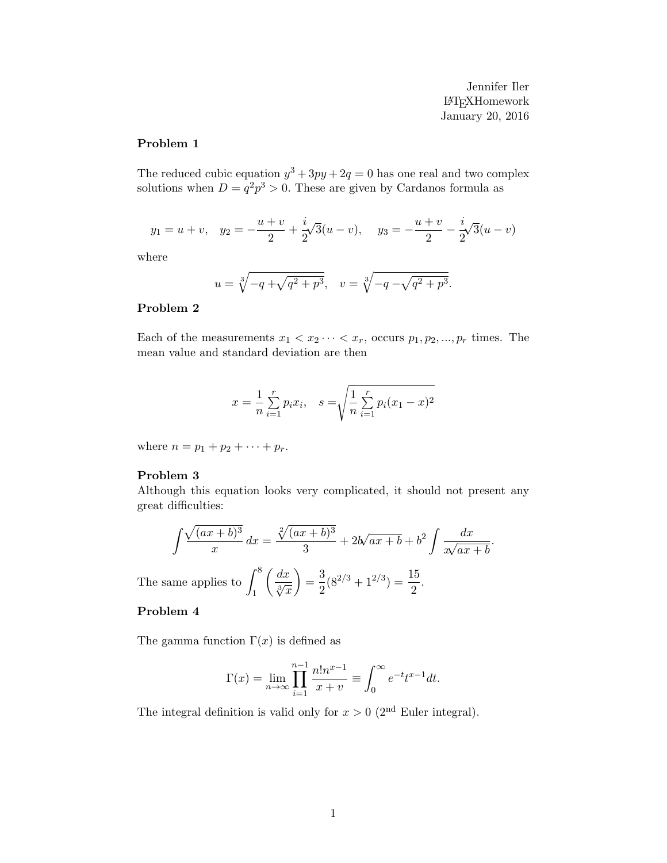Jennifer Iler LATEXHomework January 20, 2016

### Problem 1

The reduced cubic equation  $y^3 + 3py + 2q = 0$  has one real and two complex solutions when  $D = q^2 p^3 > 0$ . These are given by Cardanos formula as

$$
y_1 = u + v
$$
,  $y_2 = -\frac{u+v}{2} + \frac{i}{2}\sqrt{3}(u-v)$ ,  $y_3 = -\frac{u+v}{2} - \frac{i}{2}\sqrt{3}(u-v)$ 

where

$$
u = \sqrt[3]{-q + \sqrt{q^2 + p^3}}, \quad v = \sqrt[3]{-q - \sqrt{q^2 + p^3}}.
$$

#### Problem 2

Each of the measurements  $x_1 < x_2 \cdots < x_r$ , occurs  $p_1, p_2, ..., p_r$  times. The mean value and standard deviation are then

$$
x = \frac{1}{n} \sum_{i=1}^{r} p_i x_i, \quad s = \sqrt{\frac{1}{n} \sum_{i=1}^{r} p_i (x_1 - x)^2}
$$

where  $n = p_1 + p_2 + \cdots + p_r$ .

#### Problem 3

Although this equation looks very complicated, it should not present any great difficulties:

$$
\int \frac{\sqrt{(ax+b)^3}}{x} dx = \frac{\sqrt[2]{(ax+b)^3}}{3} + 2b\sqrt{ax+b} + b^2 \int \frac{dx}{\sqrt{ax+b}}.
$$

The same applies to  $\int_{0}^{8}$ 1  $\left(\frac{dx}{\sqrt[3]{x}}\right) = \frac{3}{2}$  $\frac{3}{2}(8^{2/3}+1^{2/3})=\frac{15}{2}.$ 

### Problem 4

The gamma function  $\Gamma(x)$  is defined as

$$
\Gamma(x) = \lim_{n \to \infty} \prod_{i=1}^{n-1} \frac{n! n^{x-1}}{x + v} \equiv \int_0^\infty e^{-t} t^{x-1} dt.
$$

The integral definition is valid only for  $x > 0$  (2<sup>nd</sup> Euler integral).